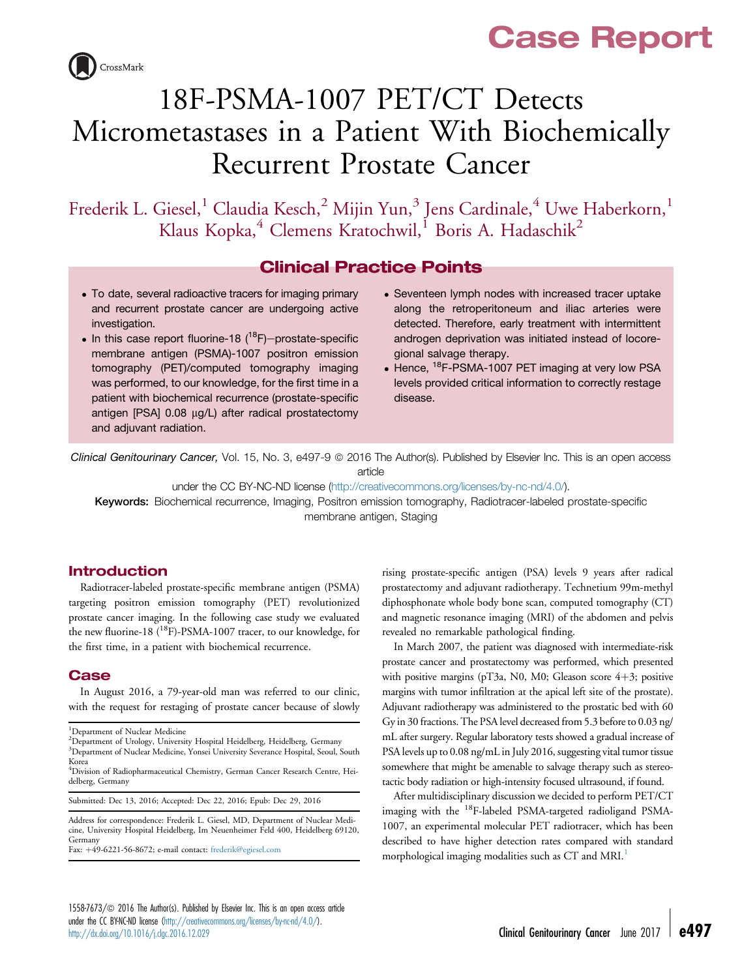# Case Report



# 18F-PSMA-1007 PET/CT Detects Micrometastases in a Patient With Biochemically Recurrent Prostate Cancer

Frederik L. Giesel,<sup>1</sup> Claudia Kesch,<sup>2</sup> Mijin Yun,<sup>3</sup> Jens Cardinale,<sup>4</sup> Uwe Haberkorn,<sup>1</sup> Klaus Kopka,<sup>4</sup> Clemens Kratochwil,<sup>1</sup> Boris A. Hadaschik<sup>2</sup>

## Clinical Practice Points

- To date, several radioactive tracers for imaging primary and recurrent prostate cancer are undergoing active investigation.
- $\bullet$  In this case report fluorine-18 (<sup>18</sup>F)-prostate-specific membrane antigen (PSMA)-1007 positron emission tomography (PET)/computed tomography imaging was performed, to our knowledge, for the first time in a patient with biochemical recurrence (prostate-specific antigen [PSA] 0.08 µg/L) after radical prostatectomy and adjuvant radiation.
- Seventeen lymph nodes with increased tracer uptake along the retroperitoneum and iliac arteries were detected. Therefore, early treatment with intermittent androgen deprivation was initiated instead of locoregional salvage therapy.
- Hence, <sup>18</sup>F-PSMA-1007 PET imaging at very low PSA levels provided critical information to correctly restage disease.

Clinical Genitourinary Cancer, Vol. 15, No. 3, e497-9 @ 2016 The Author(s). Published by Elsevier Inc. This is an open access article

under the CC BY-NC-ND license [\(http://creativecommons.org/licenses/by-nc-nd/4.0/\)](http://creativecommons.org/licenses/by-nc-nd/4.0/).

Keywords: Biochemical recurrence, Imaging, Positron emission tomography, Radiotracer-labeled prostate-specific membrane antigen, Staging

#### Introduction

Radiotracer-labeled prostate-specific membrane antigen (PSMA) targeting positron emission tomography (PET) revolutionized prostate cancer imaging. In the following case study we evaluated the new fluorine-18 (<sup>18</sup>F)-PSMA-1007 tracer, to our knowledge, for the first time, in a patient with biochemical recurrence.

#### **Case**

In August 2016, a 79-year-old man was referred to our clinic, with the request for restaging of prostate cancer because of slowly

Submitted: Dec 13, 2016; Accepted: Dec 22, 2016; Epub: Dec 29, 2016

Address for correspondence: Frederik L. Giesel, MD, Department of Nuclear Medicine, University Hospital Heidelberg, Im Neuenheimer Feld 400, Heidelberg 69120, Germany

Fax: +49-6221-56-8672; e-mail contact: [frederik@egiesel.com](mailto:frederik@egiesel.com)

rising prostate-specific antigen (PSA) levels 9 years after radical prostatectomy and adjuvant radiotherapy. Technetium 99m-methyl diphosphonate whole body bone scan, computed tomography (CT) and magnetic resonance imaging (MRI) of the abdomen and pelvis revealed no remarkable pathological finding.

In March 2007, the patient was diagnosed with intermediate-risk prostate cancer and prostatectomy was performed, which presented with positive margins (pT3a, N0, M0; Gleason score  $4+3$ ; positive margins with tumor infiltration at the apical left site of the prostate). Adjuvant radiotherapy was administered to the prostatic bed with 60 Gy in 30 fractions. The PSA level decreased from 5.3 before to 0.03 ng/ mL after surgery. Regular laboratory tests showed a gradual increase of PSA levels up to 0.08 ng/mL in July 2016, suggesting vital tumor tissue somewhere that might be amenable to salvage therapy such as stereotactic body radiation or high-intensity focused ultrasound, if found.

After multidisciplinary discussion we decided to perform PET/CT imaging with the <sup>18</sup>F-labeled PSMA-targeted radioligand PSMA-1007, an experimental molecular PET radiotracer, which has been described to have higher detection rates compared with standard morphological imaging modalities such as CT and MRI.<sup>[1](#page-2-0)</sup>

<sup>&</sup>lt;sup>1</sup>Department of Nuclear Medicine

<sup>2</sup> Department of Urology, University Hospital Heidelberg, Heidelberg, Germany

<sup>&</sup>lt;sup>3</sup>Department of Nuclear Medicine, Yonsei University Severance Hospital, Seoul, South Korea

<sup>4</sup> Division of Radiopharmaceutical Chemistry, German Cancer Research Centre, Heidelberg, Germany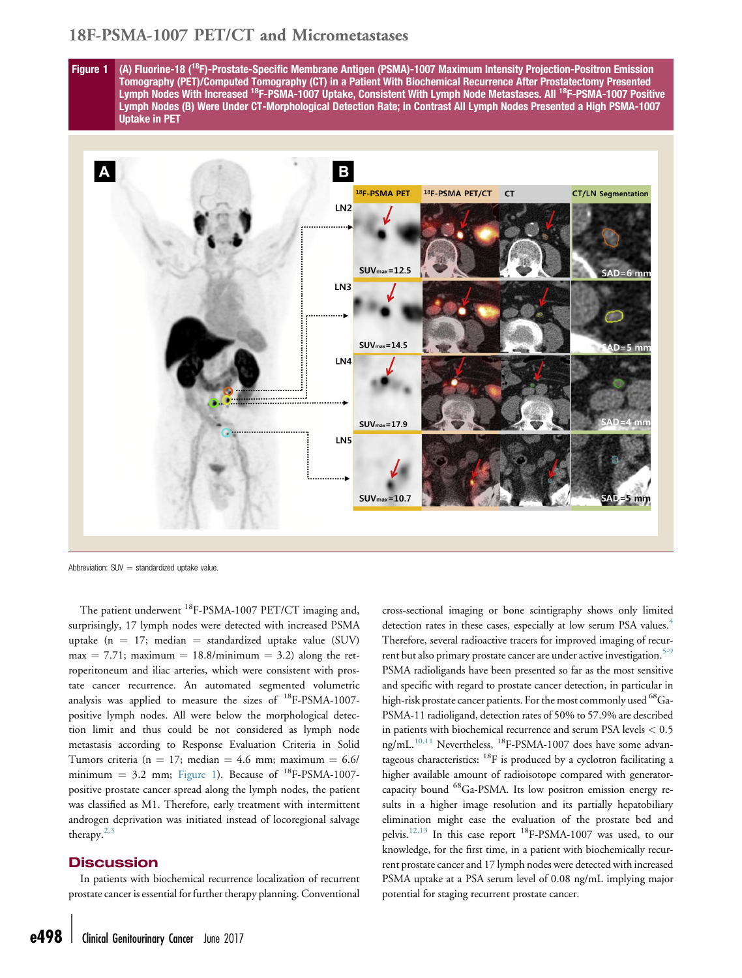### 18F-PSMA-1007 PET/CT and Micrometastases

Figure 1 (A) Fluorine-18 (<sup>18</sup>F)-Prostate-Specific Membrane Antigen (PSMA)-1007 Maximum Intensity Projection-Positron Emission Tomography (PET)/Computed Tomography (CT) in a Patient With Biochemical Recurrence After Prostatectomy Presented Lymph Nodes With Increased 18F-PSMA-1007 Uptake, Consistent With Lymph Node Metastases. All 18F-PSMA-1007 Positive Lymph Nodes (B) Were Under CT-Morphological Detection Rate; in Contrast All Lymph Nodes Presented a High PSMA-1007 Uptake in PET



Abbreviation:  $SUV =$  standardized uptake value.

The patient underwent <sup>18</sup>F-PSMA-1007 PET/CT imaging and, surprisingly, 17 lymph nodes were detected with increased PSMA uptake ( $n = 17$ ; median = standardized uptake value (SUV)  $max = 7.71$ ; maximum = 18.8/minimum = 3.2) along the retroperitoneum and iliac arteries, which were consistent with prostate cancer recurrence. An automated segmented volumetric analysis was applied to measure the sizes of  $^{18}$ F-PSMA-1007positive lymph nodes. All were below the morphological detection limit and thus could be not considered as lymph node metastasis according to Response Evaluation Criteria in Solid Tumors criteria (n = 17; median = 4.6 mm; maximum =  $6.6/$ minimum = 3.2 mm; Figure 1). Because of  $^{18}$ F-PSMA-1007positive prostate cancer spread along the lymph nodes, the patient was classified as M1. Therefore, early treatment with intermittent androgen deprivation was initiated instead of locoregional salvage therapy.[2,3](#page-2-0)

#### **Discussion**

In patients with biochemical recurrence localization of recurrent prostate cancer is essential for further therapy planning. Conventional

detection rates in these cases, especially at low serum PSA values.<sup>[4](#page-2-0)</sup> Therefore, several radioactive tracers for improved imaging of recur-rent but also primary prostate cancer are under active investigation.<sup>[5-9](#page-2-0)</sup> PSMA radioligands have been presented so far as the most sensitive and specific with regard to prostate cancer detection, in particular in high-risk prostate cancer patients. For the most commonly used <sup>68</sup>Ga-PSMA-11 radioligand, detection rates of 50% to 57.9% are described in patients with biochemical recurrence and serum PSA levels < 0.5 ng/mL.<sup>[10,11](#page-2-0)</sup> Nevertheless, <sup>18</sup>F-PSMA-1007 does have some advantageous characteristics:  $^{18}$ F is produced by a cyclotron facilitating a higher available amount of radioisotope compared with generatorcapacity bound 68Ga-PSMA. Its low positron emission energy results in a higher image resolution and its partially hepatobiliary elimination might ease the evaluation of the prostate bed and pelvis.[12,13](#page-2-0) In this case report 18F-PSMA-1007 was used, to our knowledge, for the first time, in a patient with biochemically recurrent prostate cancer and 17 lymph nodes were detected with increased PSMA uptake at a PSA serum level of 0.08 ng/mL implying major potential for staging recurrent prostate cancer.

cross-sectional imaging or bone scintigraphy shows only limited